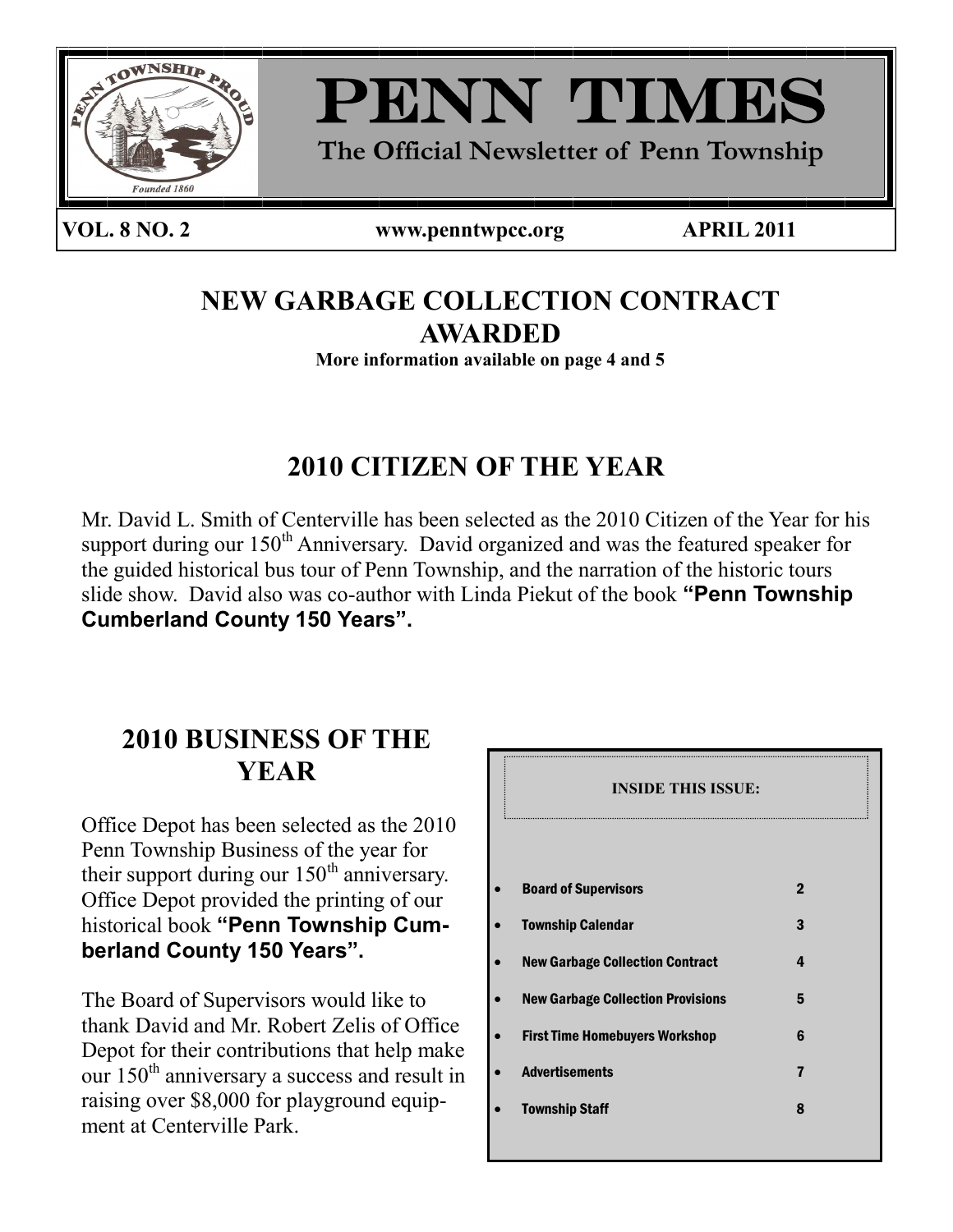



**The Official Newsletter of Penn Township**

#### **VOL. 8 NO. 2 www.penntwpcc.org APRIL 2011**

PAGE 1

# **NEW GARBAGE COLLECTION CONTRACT AWARDED**

**More information available on page 4 and 5**

# **2010 CITIZEN OF THE YEAR**

Mr. David L. Smith of Centerville has been selected as the 2010 Citizen of the Year for his support during our  $150<sup>th</sup>$  Anniversary. David organized and was the featured speaker for the guided historical bus tour of Penn Township, and the narration of the historic tours slide show. David also was co-author with Linda Piekut of the book **"Penn Township Cumberland County 150 Years".**

# **2010 BUSINESS OF THE YEAR**

Office Depot has been selected as the 2010 Penn Township Business of the year for their support during our  $150<sup>th</sup>$  anniversary. Office Depot provided the printing of our historical book **"Penn Township Cumberland County 150 Years".**

The Board of Supervisors would like to thank David and Mr. Robert Zelis of Office Depot for their contributions that help make our  $150<sup>th</sup>$  anniversary a success and result in raising over \$8,000 for playground equipment at Centerville Park.

| <b>INSIDE THIS ISSUE:</b>                |             |
|------------------------------------------|-------------|
| <b>Board of Supervisors</b>              | $\mathbf 2$ |
| <b>Township Calendar</b>                 | 3           |
| <b>New Garbage Collection Contract</b>   | 4           |
| <b>New Garbage Collection Provisions</b> | 5           |
| <b>First Time Homebuyers Workshop</b>    | 6           |
| <b>Advertisements</b>                    | 7           |
| <b>Township Staff</b>                    | 8           |
|                                          |             |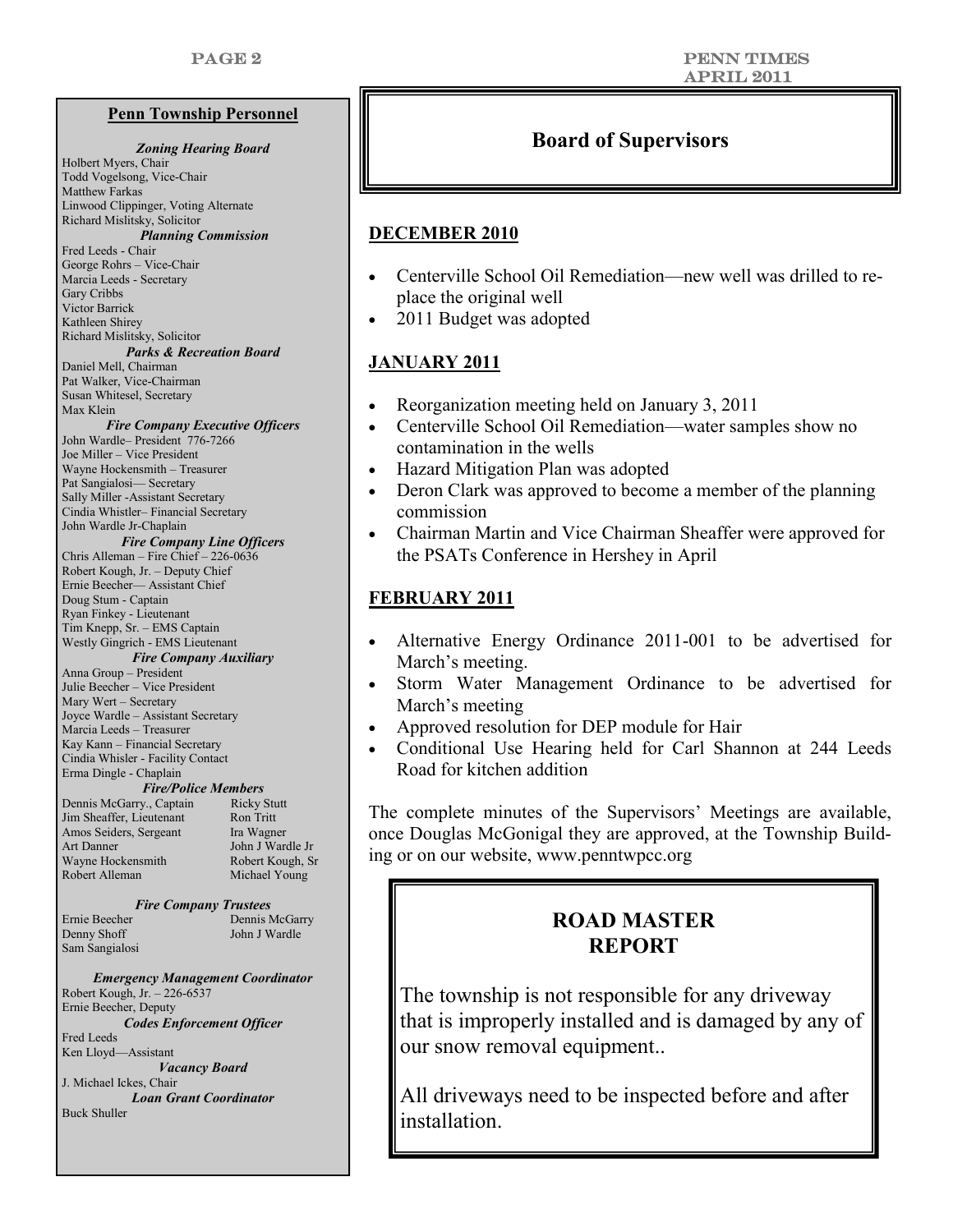#### **Penn Township Personnel**

#### *Zoning Hearing Board*  Holbert Myers, Chair Todd Vogelsong, Vice-Chair Matthew Farkas Linwood Clippinger, Voting Alternate Richard Mislitsky, Solicitor *Planning Commission* Fred Leeds - Chair George Rohrs – Vice-Chair Marcia Leeds - Secretary Gary Cribbs Victor Barrick Kathleen Shirey Richard Mislitsky, Solicitor *Parks & Recreation Board* Daniel Mell, Chairman Pat Walker, Vice-Chairman Susan Whitesel, Secretary Max Klein *Fire Company Executive Officers* John Wardle– President 776-7266 Joe Miller – Vice President Wayne Hockensmith – Treasurer Pat Sangialosi— Secretary Sally Miller -Assistant Secretary Cindia Whistler– Financial Secretary John Wardle Jr-Chaplain *Fire Company Line Officers* Chris Alleman – Fire Chief – 226-0636 Robert Kough, Jr. – Deputy Chief Ernie Beecher— Assistant Chief Doug Stum - Captain Ryan Finkey - Lieutenant Tim Knepp, Sr. – EMS Captain Westly Gingrich - EMS Lieutenant *Fire Company Auxiliary*  Anna Group – President Julie Beecher – Vice President Mary Wert – Secretary Joyce Wardle – Assistant Secretary Marcia Leeds – Treasurer Kay Kann – Financial Secretary Cindia Whisler - Facility Contact Erma Dingle - Chaplain *Fire/Police Members* Dennis McGarry., Captain Ricky Stutt Jim Sheaffer, Lieutenant Ron Tritt Amos Seiders, Sergeant Ira Wagner Art Danner John J Wardle Jr Wayne Hockensmith Robert Kough, Sr Robert Alleman Michael Young *Fire Company Trustees* Ernie Beecher Dennis McGarry<br>
Denny Shoff Iohn I Wardle John J Wardle Sam Sangialosi *Emergency Management Coordinator*

Robert Kough, Jr. – 226-6537 Ernie Beecher, Deputy *Codes Enforcement Officer* Fred Leeds Ken Lloyd—Assistant *Vacancy Board* J. Michael Ickes, Chair *Loan Grant Coordinator* Buck Shuller

### **Board of Supervisors**

#### **DECEMBER 2010**

- Centerville School Oil Remediation—new well was drilled to replace the original well
- 2011 Budget was adopted

#### **JANUARY 2011**

- Reorganization meeting held on January 3, 2011
- Centerville School Oil Remediation—water samples show no contamination in the wells
- Hazard Mitigation Plan was adopted
- Deron Clark was approved to become a member of the planning commission
- Chairman Martin and Vice Chairman Sheaffer were approved for the PSATs Conference in Hershey in April

#### **FEBRUARY 2011**

- Alternative Energy Ordinance 2011-001 to be advertised for March's meeting.
- Storm Water Management Ordinance to be advertised for March's meeting
- Approved resolution for DEP module for Hair
- Conditional Use Hearing held for Carl Shannon at 244 Leeds Road for kitchen addition

The complete minutes of the Supervisors' Meetings are available, once Douglas McGonigal they are approved, at the Township Building or on our website, www.penntwpcc.org

## **ROAD MASTER REPORT**

The township is not responsible for any driveway that is improperly installed and is damaged by any of our snow removal equipment..

All driveways need to be inspected before and after installation.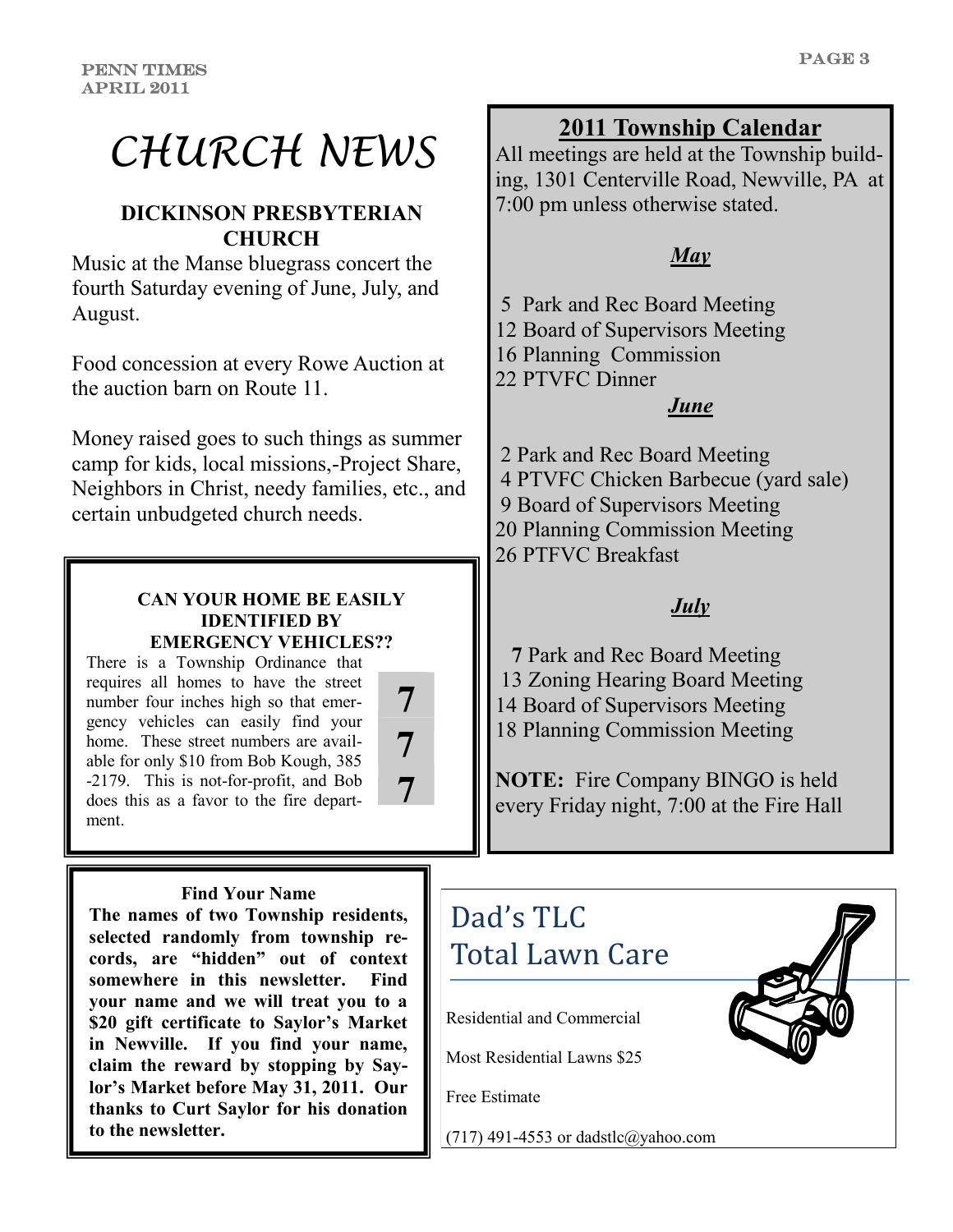# *CHURCH NEWS*

## **DICKINSON PRESBYTERIAN CHURCH**

Music at the Manse bluegrass concert the fourth Saturday evening of June, July, and August.

Food concession at every Rowe Auction at the auction barn on Route 11.

Money raised goes to such things as summer camp for kids, local missions,-Project Share, Neighbors in Christ, needy families, etc., and certain unbudgeted church needs.

#### **CAN YOUR HOME BE EASILY IDENTIFIED BY EMERGENCY VEHICLES??**

There is a Township Ordinance that requires all homes to have the street number four inches high so that emergency vehicles can easily find your home. These street numbers are available for only \$10 from Bob Kough, 385 -2179. This is not-for-profit, and Bob does this as a favor to the fire department.



#### **Find Your Name**

**The names of two Township residents, selected randomly from township records, are "hidden" out of context somewhere in this newsletter. Find your name and we will treat you to a \$20 gift certificate to Saylor's Market in Newville. If you find your name, claim the reward by stopping by Saylor's Market before May 31, 2011. Our thanks to Curt Saylor for his donation to the newsletter.**

# **2011 Township Calendar**

All meetings are held at the Township building, 1301 Centerville Road, Newville, PA at 7:00 pm unless otherwise stated.

# *May*

5 Park and Rec Board Meeting

12 Board of Supervisors Meeting

16 Planning Commission

22 PTVFC Dinner

#### *June*

2 Park and Rec Board Meeting 4 PTVFC Chicken Barbecue (yard sale) 9 Board of Supervisors Meeting 20 Planning Commission Meeting 26 PTFVC Breakfast

## *July*

 **7** Park and Rec Board Meeting 13 Zoning Hearing Board Meeting 14 Board of Supervisors Meeting 18 Planning Commission Meeting

**NOTE:** Fire Company BINGO is held every Friday night, 7:00 at the Fire Hall

# Residential and Commercial Dad's TLC Total Lawn Care

Most Residential Lawns \$25

Free Estimate

(717) 491-4553 or dadstlc@yahoo.com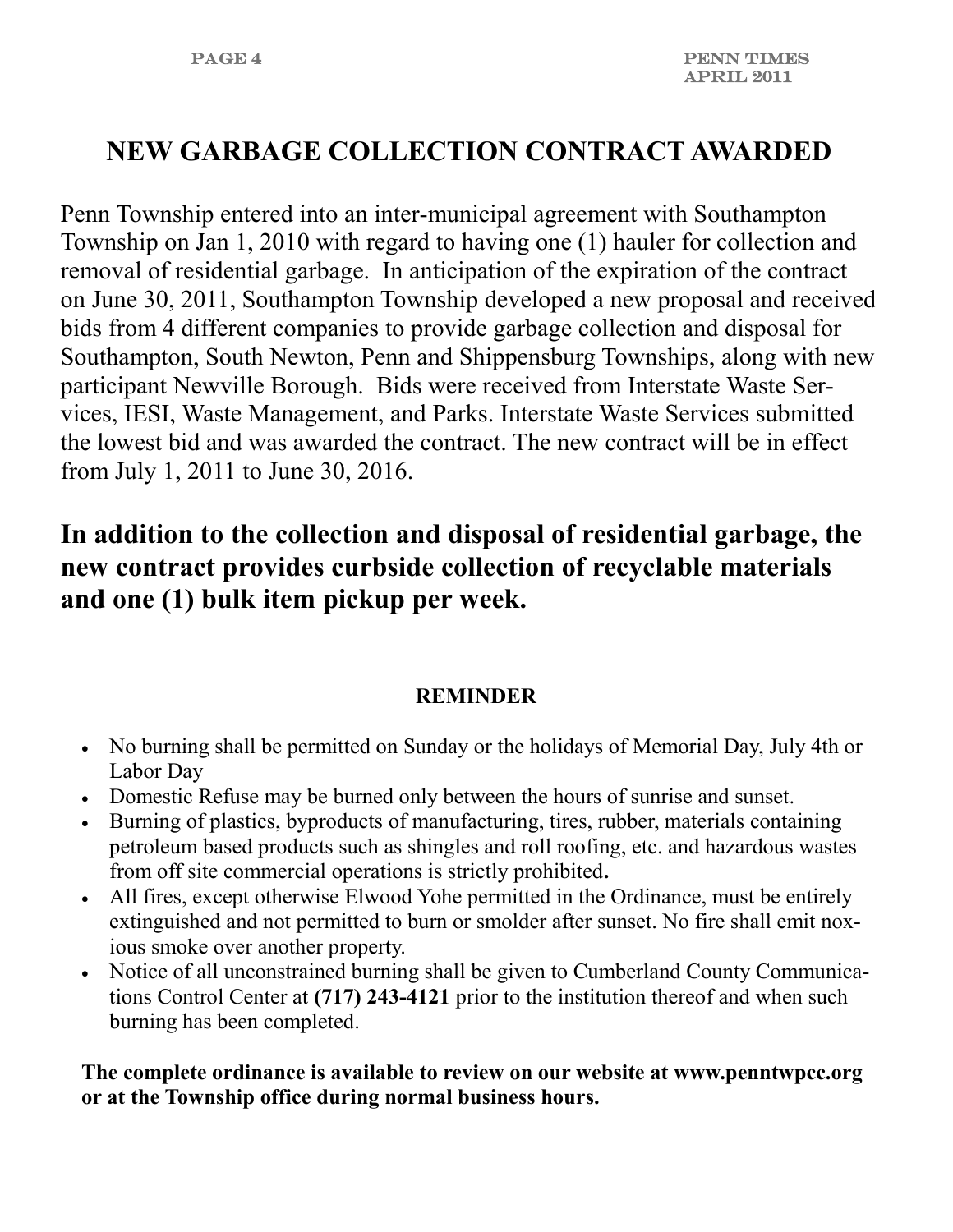# **NEW GARBAGE COLLECTION CONTRACT AWARDED**

Penn Township entered into an inter-municipal agreement with Southampton Township on Jan 1, 2010 with regard to having one (1) hauler for collection and removal of residential garbage. In anticipation of the expiration of the contract on June 30, 2011, Southampton Township developed a new proposal and received bids from 4 different companies to provide garbage collection and disposal for Southampton, South Newton, Penn and Shippensburg Townships, along with new participant Newville Borough. Bids were received from Interstate Waste Services, IESI, Waste Management, and Parks. Interstate Waste Services submitted the lowest bid and was awarded the contract. The new contract will be in effect from July 1, 2011 to June 30, 2016.

# **In addition to the collection and disposal of residential garbage, the new contract provides curbside collection of recyclable materials and one (1) bulk item pickup per week.**

### **REMINDER**

- No burning shall be permitted on Sunday or the holidays of Memorial Day, July 4th or Labor Day
- Domestic Refuse may be burned only between the hours of sunrise and sunset.
- Burning of plastics, byproducts of manufacturing, tires, rubber, materials containing petroleum based products such as shingles and roll roofing, etc. and hazardous wastes from off site commercial operations is strictly prohibited**.**
- All fires, except otherwise Elwood Yohe permitted in the Ordinance, must be entirely extinguished and not permitted to burn or smolder after sunset. No fire shall emit noxious smoke over another property.
- Notice of all unconstrained burning shall be given to Cumberland County Communications Control Center at **(717) 243-4121** prior to the institution thereof and when such burning has been completed.

**The complete ordinance is available to review on our website at www.penntwpcc.org or at the Township office during normal business hours.**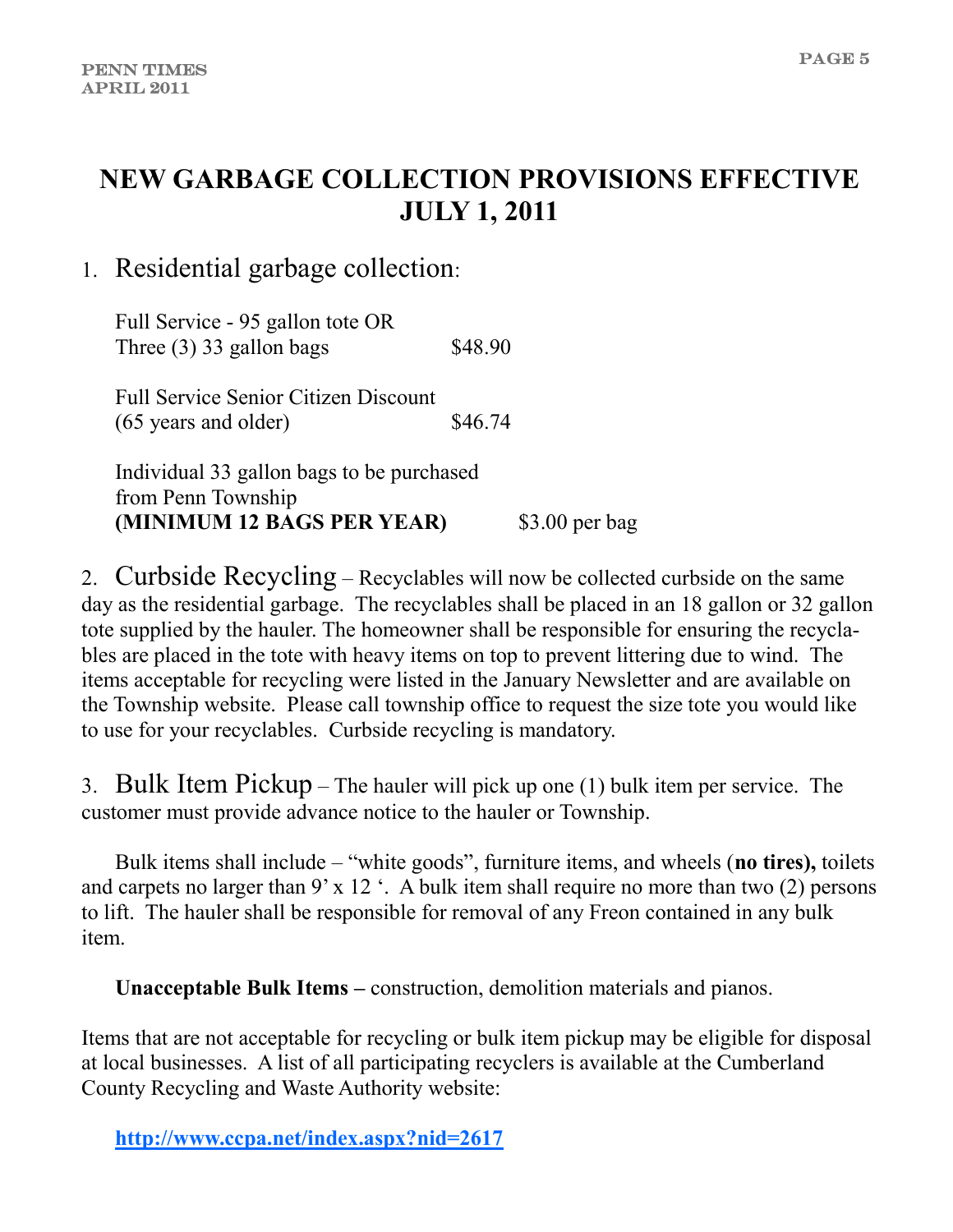# **NEW GARBAGE COLLECTION PROVISIONS EFFECTIVE JULY 1, 2011**

# 1. Residential garbage collection:

Full Service - 95 gallon tote OR Three  $(3)$  33 gallon bags \$48.90

Full Service Senior Citizen Discount  $(65 \text{ years and older})$  \$46.74

Individual 33 gallon bags to be purchased from Penn Township **(MINIMUM 12 BAGS PER YEAR)** \$3.00 per bag

2. Curbside Recycling – Recyclables will now be collected curbside on the same day as the residential garbage. The recyclables shall be placed in an 18 gallon or 32 gallon tote supplied by the hauler. The homeowner shall be responsible for ensuring the recyclables are placed in the tote with heavy items on top to prevent littering due to wind. The items acceptable for recycling were listed in the January Newsletter and are available on the Township website. Please call township office to request the size tote you would like to use for your recyclables. Curbside recycling is mandatory.

3. Bulk Item Pickup – The hauler will pick up one (1) bulk item per service. The customer must provide advance notice to the hauler or Township.

Bulk items shall include – "white goods", furniture items, and wheels (**no tires**), toilets and carpets no larger than 9' x 12 $\cdot$ . A bulk item shall require no more than two (2) persons to lift. The hauler shall be responsible for removal of any Freon contained in any bulk item.

**Unacceptable Bulk Items –** construction, demolition materials and pianos.

Items that are not acceptable for recycling or bulk item pickup may be eligible for disposal at local businesses. A list of all participating recyclers is available at the Cumberland County Recycling and Waste Authority website:

**<http://www.ccpa.net/index.aspx?nid=2617>**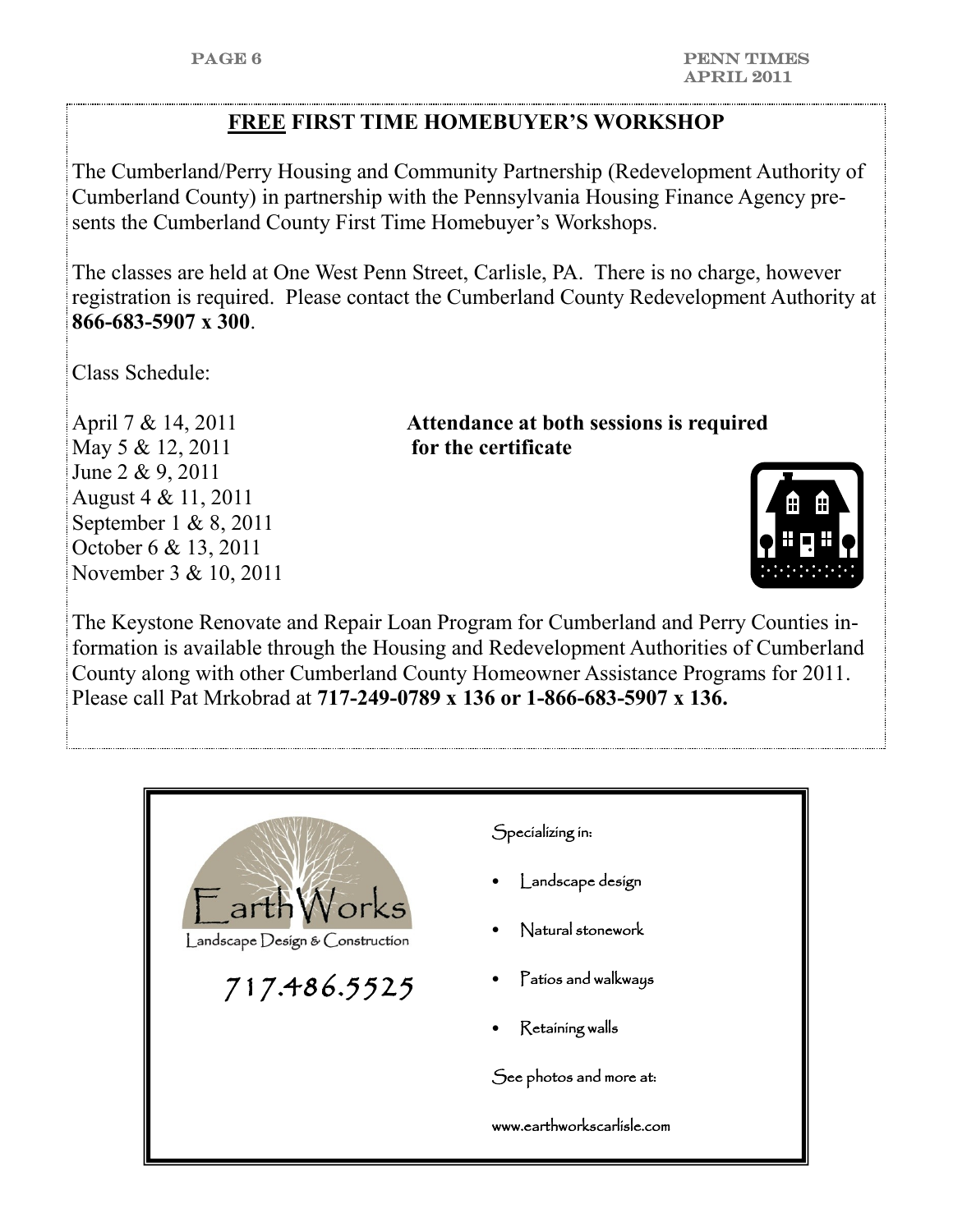### **FREE FIRST TIME HOMEBUYER'S WORKSHOP**

The Cumberland/Perry Housing and Community Partnership (Redevelopment Authority of Cumberland County) in partnership with the Pennsylvania Housing Finance Agency presents the Cumberland County First Time Homebuyer's Workshops.

The classes are held at One West Penn Street, Carlisle, PA. There is no charge, however registration is required. Please contact the Cumberland County Redevelopment Authority at **866-683-5907 x 300**.

Class Schedule:

May 5 & 12, 2011 **for the certificate** June 2 & 9, 2011 August 4 & 11, 2011 September 1 & 8, 2011 October 6 & 13, 2011 November 3 & 10, 2011

April 7 & 14, 2011 **Attendance at both sessions is required** 



The Keystone Renovate and Repair Loan Program for Cumberland and Perry Counties information is available through the Housing and Redevelopment Authorities of Cumberland County along with other Cumberland County Homeowner Assistance Programs for 2011. Please call Pat Mrkobrad at **717-249-0789 x 136 or 1-866-683-5907 x 136.**

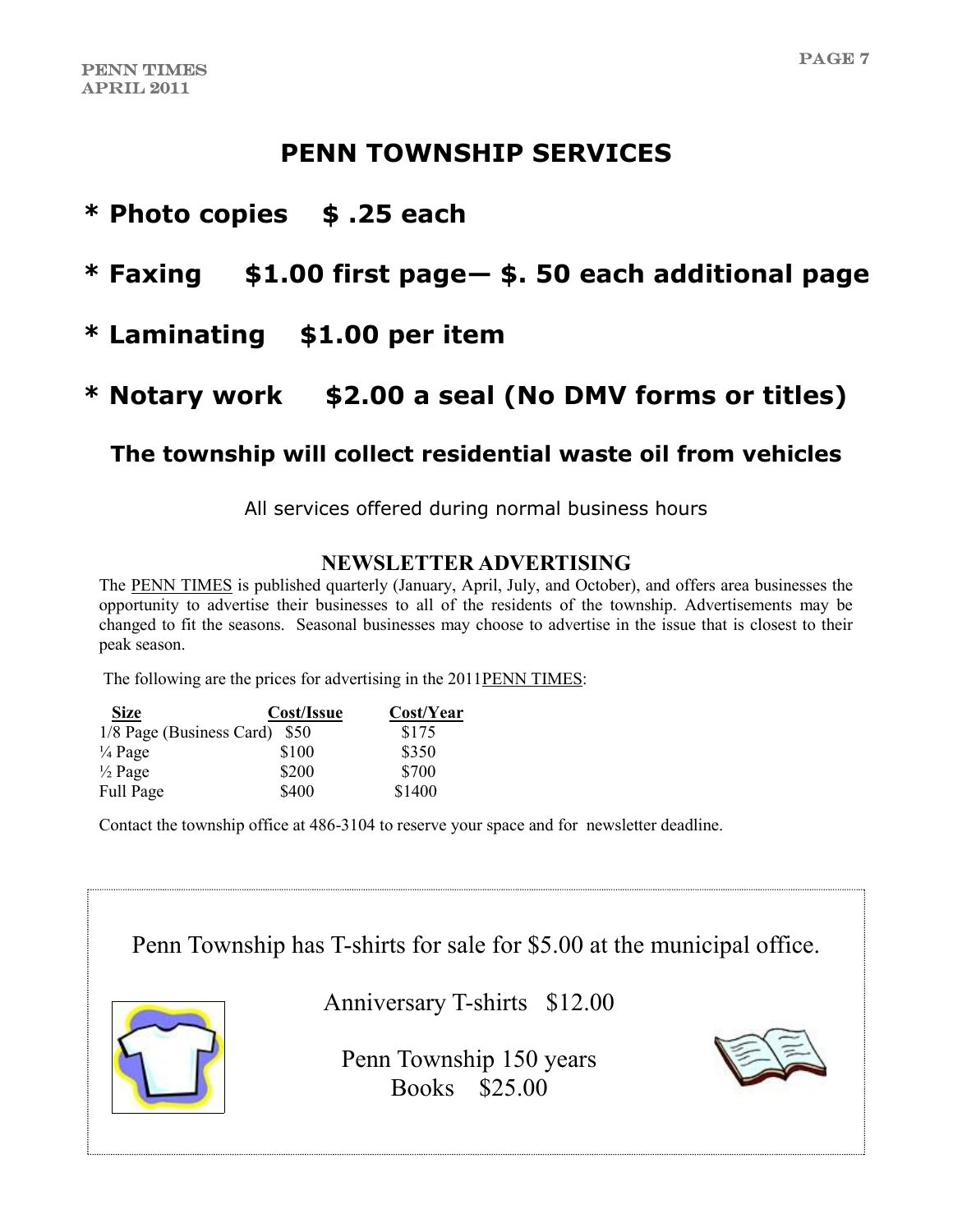# **PENN TOWNSHIP SERVICES**

# **\* Photo copies \$ .25 each**

# **\* Faxing \$1.00 first page— \$. 50 each additional page**

# **\* Laminating \$1.00 per item**

# **\* Notary work \$2.00 a seal (No DMV forms or titles)**

# **The township will collect residential waste oil from vehicles**

All services offered during normal business hours

#### **NEWSLETTER ADVERTISING**

The PENN TIMES is published quarterly (January, April, July, and October), and offers area businesses the opportunity to advertise their businesses to all of the residents of the township. Advertisements may be changed to fit the seasons. Seasonal businesses may choose to advertise in the issue that is closest to their peak season.

The following are the prices for advertising in the 2011PENN TIMES:

| <b>Size</b>                   | Cost/Issue | Cost/Year |
|-------------------------------|------------|-----------|
| 1/8 Page (Business Card) \$50 |            | \$175     |
| $\frac{1}{4}$ Page            | \$100      | \$350     |
| $\frac{1}{2}$ Page            | \$200      | \$700     |
| Full Page                     | \$400      | \$1400    |

Contact the township office at 486-3104 to reserve your space and for newsletter deadline.

# Penn Township has T-shirts for sale for \$5.00 at the municipal office.



Anniversary T-shirts \$12.00

Penn Township 150 years Books \$25.00